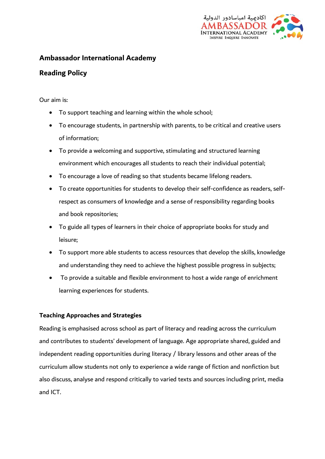

## **Ambassador International Academy**

# **Reading Policy**

Our aim is:

- To support teaching and learning within the whole school;
- To encourage students, in partnership with parents, to be critical and creative users of information;
- To provide a welcoming and supportive, stimulating and structured learning environment which encourages all students to reach their individual potential;
- To encourage a love of reading so that students became lifelong readers.
- To create opportunities for students to develop their self-confidence as readers, selfrespect as consumers of knowledge and a sense of responsibility regarding books and book repositories;
- To guide all types of learners in their choice of appropriate books for study and leisure;
- To support more able students to access resources that develop the skills, knowledge and understanding they need to achieve the highest possible progress in subjects;
- To provide a suitable and flexible environment to host a wide range of enrichment learning experiences for students.

## **Teaching Approaches and Strategies**

Reading is emphasised across school as part of literacy and reading across the curriculum and contributes to students' development of language. Age appropriate shared, guided and independent reading opportunities during literacy / library lessons and other areas of the curriculum allow students not only to experience a wide range of fiction and nonfiction but also discuss, analyse and respond critically to varied texts and sources including print, media and ICT.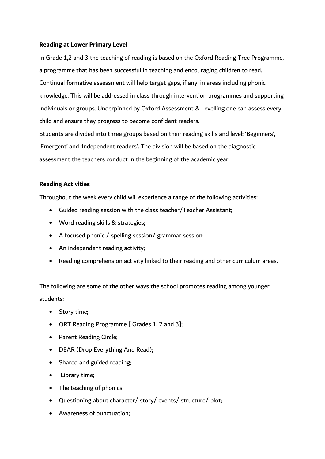#### **Reading at Lower Primary Level**

In Grade 1,2 and 3 the teaching of reading is based on the Oxford Reading Tree Programme, a programme that has been successful in teaching and encouraging children to read. Continual formative assessment will help target gaps, if any, in areas including phonic knowledge. This will be addressed in class through intervention programmes and supporting individuals or groups. Underpinned by Oxford Assessment & Levelling one can assess every child and ensure they progress to become confident readers.

Students are divided into three groups based on their reading skills and level: 'Beginners', 'Emergent' and 'Independent readers'. The division will be based on the diagnostic assessment the teachers conduct in the beginning of the academic year.

#### **Reading Activities**

Throughout the week every child will experience a range of the following activities:

- Guided reading session with the class teacher/Teacher Assistant;
- Word reading skills & strategies;
- A focused phonic / spelling session/ grammar session;
- An independent reading activity;
- Reading comprehension activity linked to their reading and other curriculum areas.

The following are some of the other ways the school promotes reading among younger students:

- Story time;
- ORT Reading Programme [ Grades 1, 2 and 3];
- Parent Reading Circle;
- DEAR (Drop Everything And Read);
- Shared and guided reading;
- Library time;
- The teaching of phonics;
- Questioning about character/ story/ events/ structure/ plot;
- Awareness of punctuation;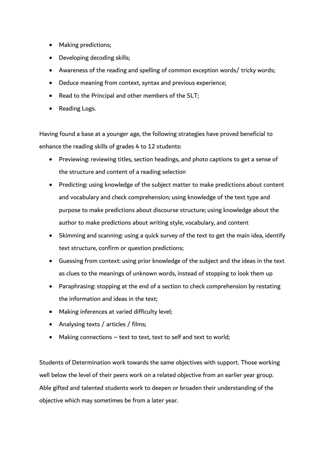- Making predictions;
- Developing decoding skills;
- Awareness of the reading and spelling of common exception words/ tricky words;
- Deduce meaning from context, syntax and previous experience;
- Read to the Principal and other members of the SLT;
- Reading Logs.

Having found a base at a younger age, the following strategies have proved beneficial to enhance the reading skills of grades 4 to 12 students:

- Previewing: reviewing titles, section headings, and photo captions to get a sense of the structure and content of a reading selection
- Predicting: using knowledge of the subject matter to make predictions about content and vocabulary and check comprehension; using knowledge of the text type and purpose to make predictions about discourse structure; using knowledge about the author to make predictions about writing style, vocabulary, and content
- Skimming and scanning: using a quick survey of the text to get the main idea, identify text structure, confirm or question predictions;
- Guessing from context: using prior knowledge of the subject and the ideas in the text as clues to the meanings of unknown words, instead of stopping to look them up
- Paraphrasing: stopping at the end of a section to check comprehension by restating the information and ideas in the text;
- Making inferences at varied difficulty level;
- Analysing texts / articles / films;
- Making connections text to text, text to self and text to world;

Students of Determination work towards the same objectives with support. Those working well below the level of their peers work on a related objective from an earlier year group. Able gifted and talented students work to deepen or broaden their understanding of the objective which may sometimes be from a later year.